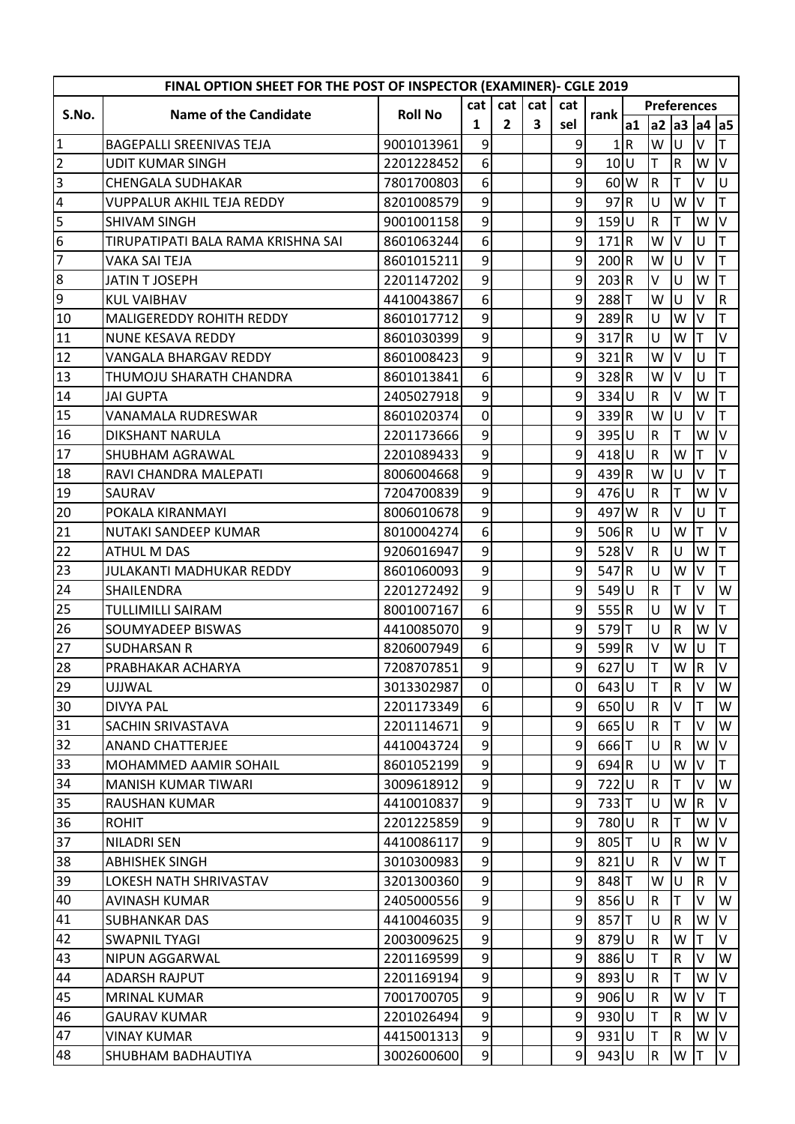| FINAL OPTION SHEET FOR THE POST OF INSPECTOR (EXAMINER)- CGLE 2019 |                                    |                |                 |                |                         |                 |                    |                    |              |             |                         |           |  |
|--------------------------------------------------------------------|------------------------------------|----------------|-----------------|----------------|-------------------------|-----------------|--------------------|--------------------|--------------|-------------|-------------------------|-----------|--|
| S.No.                                                              | <b>Name of the Candidate</b>       | <b>Roll No</b> | cat             | cat            | cat                     | cat             | rank               | <b>Preferences</b> |              |             |                         |           |  |
|                                                                    |                                    |                | 1               | $\overline{2}$ | $\overline{\mathbf{3}}$ | sel             |                    | a1                 |              |             | a2 a3 a4 a5             |           |  |
| $\mathbf{1}$                                                       | <b>BAGEPALLI SREENIVAS TEJA</b>    | 9001013961     | 9               |                |                         | 9               | 1                  | IR.                | W            | U           | V                       | T         |  |
| $\frac{1}{3}$                                                      | <b>UDIT KUMAR SINGH</b>            | 2201228452     | 6 <sup>1</sup>  |                |                         | $\mathsf{g}$    | 10U                |                    | T            | $\mathsf R$ | W                       | $\vee$    |  |
|                                                                    | <b>CHENGALA SUDHAKAR</b>           | 7801700803     | 6 <sup>1</sup>  |                |                         | 9               | $60\text{W}$       |                    | R            |             | V                       | U         |  |
| $\overline{4}$                                                     | <b>VUPPALUR AKHIL TEJA REDDY</b>   | 8201008579     | 9               |                |                         | $\mathsf{g}$    | 97R                |                    | U            | W           | V                       | T         |  |
| $\overline{5}$                                                     | <b>SHIVAM SINGH</b>                | 9001001158     | 9               |                |                         | $\mathsf{g}$    | $159$ U            |                    | ${\sf R}$    | т           | W                       | $\vee$    |  |
| $\overline{6}$                                                     | TIRUPATIPATI BALA RAMA KRISHNA SAI | 8601063244     | 6 <sup>1</sup>  |                |                         | $\overline{9}$  | 171R               |                    | W            | V           | U                       | T         |  |
| $\overline{7}$                                                     | VAKA SAI TEJA                      | 8601015211     | 9               |                |                         | $\overline{9}$  | 200 R              |                    | W            | U           | V                       | T         |  |
| $\overline{8}$                                                     | <b>JATIN T JOSEPH</b>              | 2201147202     | 9               |                |                         | $\overline{9}$  | 203 R              |                    | V            | U           | W                       | T         |  |
| $\overline{9}$                                                     | <b>KUL VAIBHAV</b>                 | 4410043867     | 6 <sup>1</sup>  |                |                         | 9               | 288T               |                    | W            | U           | V                       | ${\sf R}$ |  |
| 10                                                                 | <b>MALIGEREDDY ROHITH REDDY</b>    | 8601017712     | $\mathsf{g}$    |                |                         | $\overline{9}$  | 289R               |                    | U            | W           | V                       |           |  |
| 11                                                                 | <b>NUNE KESAVA REDDY</b>           | 8601030399     | $\mathsf{g}$    |                |                         | $\overline{9}$  | 317R               |                    | U            | W           | T                       | V         |  |
| 12                                                                 | VANGALA BHARGAV REDDY              | 8601008423     | $\mathsf{g}$    |                |                         | $\mathsf{g}$    | 321R               |                    | W            | V           | U                       | T         |  |
| 13                                                                 | THUMOJU SHARATH CHANDRA            | 8601013841     | 6 <sup>1</sup>  |                |                         | 9               | 328R               |                    | W            | V           | U                       | T         |  |
| 14                                                                 | <b>JAI GUPTA</b>                   | 2405027918     | $\overline{9}$  |                |                         | $\overline{9}$  | 334U               |                    | $\mathsf R$  | V           | W                       | T         |  |
| 15                                                                 | VANAMALA RUDRESWAR                 | 8601020374     | $\overline{0}$  |                |                         | $\overline{9}$  | 339R               |                    | W            | U           | V                       | T         |  |
| 16                                                                 | <b>DIKSHANT NARULA</b>             | 2201173666     | $\mathsf{g}$    |                |                         | 9               | $395$ U            |                    | $\mathsf R$  | T           | W                       | $\vee$    |  |
| 17                                                                 | <b>SHUBHAM AGRAWAL</b>             | 2201089433     | $\overline{9}$  |                |                         | $\overline{9}$  | $418$ U            |                    | $\mathsf R$  | W           | T                       | $\vee$    |  |
| 18                                                                 | RAVI CHANDRA MALEPATI              | 8006004668     | $\mathsf{g}$    |                |                         | $\overline{9}$  | 439R               |                    | W            | U           | V                       | T         |  |
| 19                                                                 | SAURAV                             | 7204700839     | 9               |                |                         | $\vert 9 \vert$ | 476U               |                    | $\mathsf R$  | T           | W                       | $\vee$    |  |
| 20                                                                 | POKALA KIRANMAYI                   | 8006010678     | $\overline{9}$  |                |                         | $\overline{9}$  | 497 W              |                    | $\mathsf{R}$ | V           | U                       | Τ         |  |
| $\overline{21}$                                                    | NUTAKI SANDEEP KUMAR               | 8010004274     | 6 <sup>1</sup>  |                |                         | $\mathsf{g}$    | 506R               |                    | U            | W           | T                       | $\vee$    |  |
| $\overline{22}$                                                    | <b>ATHUL M DAS</b>                 | 9206016947     | $\mathsf{g}$    |                |                         | $\overline{9}$  | $528$ <sub>V</sub> |                    | $\mathsf R$  | U           | W                       | T         |  |
| $\overline{23}$                                                    | JULAKANTI MADHUKAR REDDY           | 8601060093     | 9               |                |                         | 9               | 547R               |                    | U            | W           | V                       | T         |  |
| $\overline{24}$                                                    | SHAILENDRA                         | 2201272492     | 9               |                |                         | 9               | $549$ U            |                    | ${\sf R}$    | T           | V                       | W         |  |
| $\overline{25}$                                                    | <b>TULLIMILLI SAIRAM</b>           | 8001007167     | 6 <sup>1</sup>  |                |                         | $\overline{9}$  | 555R               |                    | U            | W           | V                       | T         |  |
| 26                                                                 | <b>SOUMYADEEP BISWAS</b>           | 4410085070     | 9               |                |                         | 9               | 579T               |                    | U            | $\mathsf R$ | W                       | $\vee$    |  |
| 27                                                                 | <b>SUDHARSAN R</b>                 | 8206007949     | 6 <sup>1</sup>  |                |                         | $\overline{9}$  | $599$ <sup>R</sup> |                    | V            | W           | U                       | T         |  |
| $\overline{28}$                                                    | PRABHAKAR ACHARYA                  | 7208707851     | 9 <sup>1</sup>  |                |                         | $\vert 9 \vert$ | $627$ U            |                    | $\mathsf{T}$ | W           | $\overline{\mathsf{R}}$ | $\vee$    |  |
| 29                                                                 | <b>UJJWAL</b>                      | 3013302987     | $\overline{0}$  |                |                         | 0               | $643$ U            |                    | Т            | R           | V                       | W         |  |
| 30                                                                 | <b>DIVYA PAL</b>                   | 2201173349     | 6 <sup>1</sup>  |                |                         | 9               | $650$ U            |                    | ${\sf R}$    | v           | T                       | W         |  |
| 31                                                                 | SACHIN SRIVASTAVA                  | 2201114671     | $\overline{9}$  |                |                         | $\overline{9}$  | $665$ U            |                    | ${\sf R}$    |             | V                       | W         |  |
| 32                                                                 | <b>ANAND CHATTERJEE</b>            | 4410043724     | $\overline{9}$  |                |                         | $\overline{9}$  | 666T               |                    | U            | ${\sf R}$   | W                       | V         |  |
| 33                                                                 | MOHAMMED AAMIR SOHAIL              | 8601052199     | 9               |                |                         | $\overline{9}$  | $694$ <sub>R</sub> |                    | U            | W           | V                       | T         |  |
| 34                                                                 | <b>MANISH KUMAR TIWARI</b>         | 3009618912     | $\overline{9}$  |                |                         | $\overline{9}$  | 722U               |                    | R            |             | V                       | W         |  |
| 35                                                                 | RAUSHAN KUMAR                      | 4410010837     | 9               |                |                         | $\overline{9}$  | $733$ T            |                    | U            | W           | R                       | v         |  |
| 36                                                                 | <b>ROHIT</b>                       | 2201225859     | 9               |                |                         | $\overline{9}$  | 780U               |                    | R            |             | W                       | V         |  |
| 37                                                                 | <b>NILADRI SEN</b>                 | 4410086117     | $\overline{9}$  |                |                         | $\overline{9}$  | 805 T              |                    | U            | ${\sf R}$   | W                       | V         |  |
| $\overline{\text{38}}$                                             | <b>ABHISHEK SINGH</b>              | 3010300983     | 9               |                |                         | $\overline{9}$  | $821$ U            |                    | $\mathsf{R}$ | V           | W                       | ΙT        |  |
| 39                                                                 | LOKESH NATH SHRIVASTAV             | 3201300360     | $\overline{9}$  |                |                         | $\overline{9}$  | 848T               |                    | W            | U           | R                       | V         |  |
| 40                                                                 | AVINASH KUMAR                      | 2405000556     | $\overline{9}$  |                |                         | $\overline{9}$  | 856U               |                    | $\mathsf R$  |             | V                       | W         |  |
| 41                                                                 | <b>SUBHANKAR DAS</b>               | 4410046035     | $\overline{9}$  |                |                         | $\overline{9}$  | 857T               |                    | U            | R           | W                       | v         |  |
| 42                                                                 | <b>SWAPNIL TYAGI</b>               | 2003009625     | 9               |                |                         | 9               | $879$ U            |                    | ${\sf R}$    | W           | T                       | V         |  |
| 43                                                                 | NIPUN AGGARWAL                     | 2201169599     | 9               |                |                         | $\overline{9}$  | 886U               |                    | Τ            | R           | V                       | W         |  |
| 44                                                                 | <b>ADARSH RAJPUT</b>               | 2201169194     | $\vert 9 \vert$ |                |                         | $\overline{9}$  | 893U               |                    | R            | т           | W                       | V         |  |
| 45                                                                 | <b>MRINAL KUMAR</b>                | 7001700705     | $\overline{9}$  |                |                         | $\overline{9}$  | $906$ U            |                    | $\mathsf R$  | W           | V                       | T         |  |
| 46                                                                 | <b>GAURAV KUMAR</b>                | 2201026494     | $\overline{9}$  |                |                         | $\overline{9}$  | $930$ U            |                    | Τ            | R           | W                       | V         |  |
| 47                                                                 | <b>VINAY KUMAR</b>                 | 4415001313     | $\overline{9}$  |                |                         | $\overline{9}$  | $931$ U            |                    | T            | R           | W                       | V         |  |
| 48                                                                 | SHUBHAM BADHAUTIYA                 | 3002600600     | $\overline{9}$  |                |                         | 9               | $943$ U            |                    | R            | W           | Т                       | V         |  |
|                                                                    |                                    |                |                 |                |                         |                 |                    |                    |              |             |                         |           |  |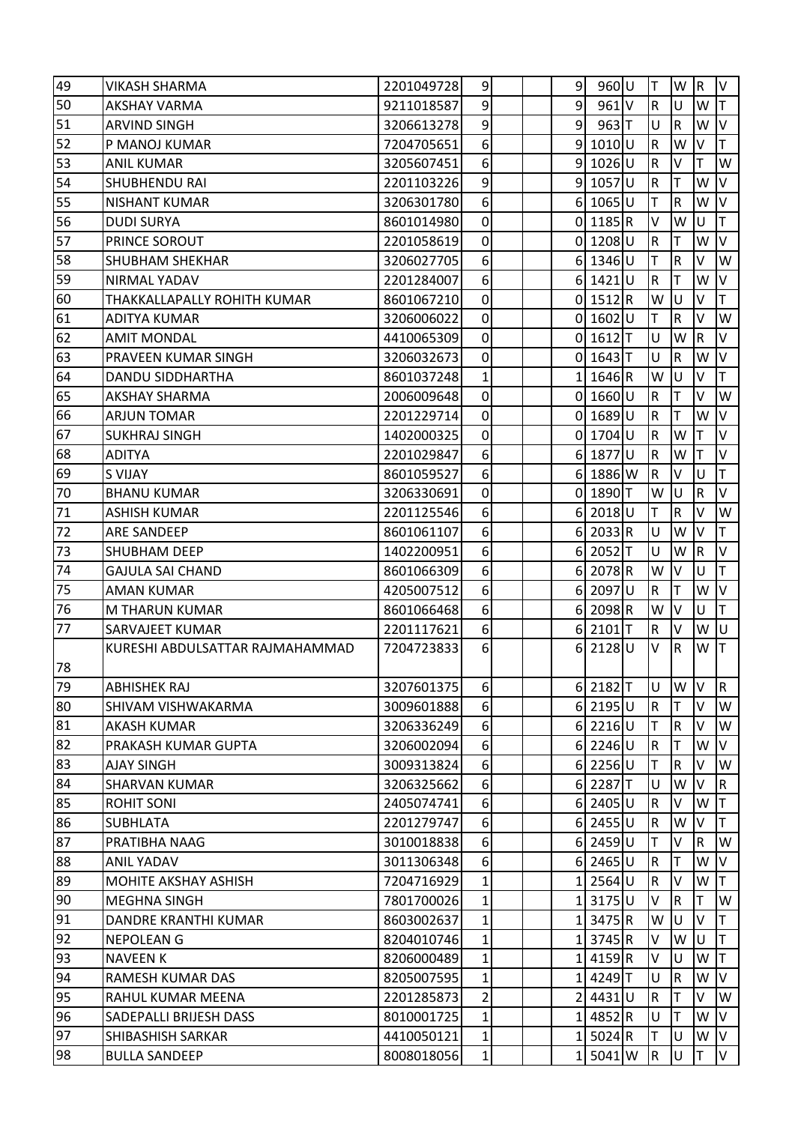| 49              | <b>VIKASH SHARMA</b>            | 2201049728 | 9               |  | $\overline{9}$ | $960$ U             | T           | W                       | R.           | V            |
|-----------------|---------------------------------|------------|-----------------|--|----------------|---------------------|-------------|-------------------------|--------------|--------------|
| 50              | <b>AKSHAY VARMA</b>             | 9211018587 | 9               |  | $\overline{9}$ | $961$ V             | $\mathsf R$ | U                       | W            | T.           |
| 51              | <b>ARVIND SINGH</b>             | 3206613278 | $\mathsf{g}$    |  | $\overline{9}$ | $963$ T             | U           | $\mathsf R$             | W            | V            |
| 52              | P MANOJ KUMAR                   | 7204705651 | 6 <sup>1</sup>  |  |                | $9 1010 $ U         | ${\sf R}$   | W                       | V            | T.           |
| 53              | <b>ANIL KUMAR</b>               | 3205607451 | 6 <sup>1</sup>  |  |                | 9 1026 U            | $\mathsf R$ | V                       | т            | W            |
| 54              | SHUBHENDU RAI                   | 2201103226 | 9               |  |                | 9 1057 U            | ${\sf R}$   | T                       | W            | V            |
| 55              | <b>NISHANT KUMAR</b>            | 3206301780 | 6 <sup>1</sup>  |  |                | 6 1065 U            | T           | $\mathsf R$             | W            | V            |
| 56              | <b>DUDI SURYA</b>               | 8601014980 | 0               |  |                | $0$   1185 R        | ٧           | W                       | U            | T            |
| 57              | PRINCE SOROUT                   | 2201058619 | $\overline{0}$  |  |                | $0$   1208 U        | ${\sf R}$   | T                       | W            | V            |
| 58              | <b>SHUBHAM SHEKHAR</b>          | 3206027705 | 6 <sup>1</sup>  |  |                | 6 1346 U            | Т           | ${\sf R}$               | v            | W            |
| 59              | NIRMAL YADAV                    | 2201284007 | 6 <sup>1</sup>  |  |                | 6 1421 U            | ${\sf R}$   | T                       | W            | V            |
| 60              | THAKKALLAPALLY ROHITH KUMAR     | 8601067210 | $\overline{0}$  |  |                | $0$ 1512 R          | W           | U                       | $\vee$       | T.           |
| 61              | <b>ADITYA KUMAR</b>             | 3206006022 | 0               |  |                | 0 1602 U            | Т           | $\mathsf R$             | V            | W            |
| 62              | <b>AMIT MONDAL</b>              | 4410065309 | $\overline{0}$  |  |                | 0 1612 T            | Ù           | W                       | $\mathsf R$  | V            |
| $\overline{6}3$ | PRAVEEN KUMAR SINGH             | 3206032673 | 0               |  |                | $0$   1643 T        | U           | R                       | W            | V            |
| 64              | DANDU SIDDHARTHA                | 8601037248 | $1\vert$        |  |                | 1 1646 R            | W           | U                       | v            | T            |
| 65              | <b>AKSHAY SHARMA</b>            | 2006009648 | $\overline{0}$  |  |                | $0 1660 $ U         | ${\sf R}$   | T                       | $\vee$       | W            |
| 66              | <b>ARJUN TOMAR</b>              | 2201229714 | $\overline{0}$  |  |                | $0$   1689 $ U $    | ${\sf R}$   | T                       | W            | V            |
| 67              | <b>SUKHRAJ SINGH</b>            | 1402000325 | $\overline{0}$  |  |                | 0 1704 U            | ${\sf R}$   | W                       | ΙT           | V            |
| 68              | <b>ADITYA</b>                   | 2201029847 | 6 <sup>1</sup>  |  |                | 6 1877 U            | ${\sf R}$   | W                       | Т            | V            |
| 69              | <b>S VIJAY</b>                  | 8601059527 | 6 <sup>1</sup>  |  |                | $6$ 1886 W          | ${\sf R}$   | V                       | U            | T            |
| 70              | <b>BHANU KUMAR</b>              | 3206330691 | 0               |  |                | 0 1890 T            | W           | U                       | ${\sf R}$    | V            |
| 71              | <b>ASHISH KUMAR</b>             | 2201125546 | 6 <sup>1</sup>  |  |                | $6$   2018 U        | T           | ${\sf R}$               | V            | W            |
| 72              | ARE SANDEEP                     | 8601061107 | 6 <sup>1</sup>  |  |                | $6$   2033 R        | $\cup$      | W                       | I٧           | T            |
| 73              | SHUBHAM DEEP                    | 1402200951 | 6 <sup>1</sup>  |  |                | $6$   2052   T      | U           | W                       | IR.          | V            |
| 74              | <b>GAJULA SAI CHAND</b>         | 8601066309 | 6 <sup>1</sup>  |  |                | $6$   2078 R        | W           | V                       | U            | T            |
| 75              | <b>AMAN KUMAR</b>               | 4205007512 | 6 <sup>1</sup>  |  |                | 6 2097 U            | ${\sf R}$   | Τ                       | W            | V            |
| 76              | M THARUN KUMAR                  | 8601066468 | 6 <sup>1</sup>  |  |                | $6$   2098 R        | W           | V                       | U            | T.           |
| 77              | SARVAJEET KUMAR                 | 2201117621 | 6 <sup>1</sup>  |  | 6 <sup>1</sup> | $2101$ <sup>T</sup> | ${\sf R}$   | V                       | W            | U            |
|                 | KURESHI ABDULSATTAR RAJMAHAMMAD | 7204723833 | $6 \mid$        |  | $6 \mid$       | 2128U               | V           | lR.                     | W T          |              |
| 78              |                                 |            |                 |  |                |                     |             |                         |              |              |
| 79              | <b>ABHISHEK RAJ</b>             | 3207601375 | 6 <sup>1</sup>  |  |                | $6$   2182 T        | U           | W                       | I٧           | $\mathsf R$  |
| 80              | SHIVAM VISHWAKARMA              | 3009601888 | 6 <sup>1</sup>  |  |                | $6$   2195 U        | ${\sf R}$   | T                       | V            | W            |
| 81              | <b>AKASH KUMAR</b>              | 3206336249 | 6               |  |                | $6$   2216 U        | Т           | R                       | v            | W            |
| 82              | PRAKASH KUMAR GUPTA             | 3206002094 | 6               |  |                | $6$   2246 U        | ${\sf R}$   | T                       | W            | V            |
| 83              | <b>AJAY SINGH</b>               | 3009313824 | 6               |  |                | $6$   2256 U        | T           | $\overline{\mathsf{R}}$ | V            | W            |
| 84              | <b>SHARVAN KUMAR</b>            | 3206325662 | 6 <sup>1</sup>  |  |                | $6$   2287 T        | U           | W                       | I۷           | $\mathsf{R}$ |
| 85              | <b>ROHIT SONI</b>               | 2405074741 | 6 <sup>1</sup>  |  |                | $6$   2405 U        | $\mathsf R$ | V                       | W            | T            |
| 86              | <b>SUBHLATA</b>                 | 2201279747 | 6 <sup>1</sup>  |  |                | $6$   2455 U        | ${\sf R}$   | W                       | V            | T            |
| 87              | PRATIBHA NAAG                   | 3010018838 | 6 <sup>1</sup>  |  |                | $6$   2459 U        | T           | V                       | $\mathsf{R}$ | W            |
| 88              | <b>ANIL YADAV</b>               | 3011306348 | 6 <sup>1</sup>  |  |                | $6$   2465 U        | ${\sf R}$   | Τ                       | W            | V            |
| 89              | MOHITE AKSHAY ASHISH            | 7204716929 | $1\vert$        |  |                | 1 2564 U            | ${\sf R}$   | V                       | W            | T            |
| 90              | <b>MEGHNA SINGH</b>             | 7801700026 | $\mathbf{1}$    |  |                | 1 3175 U            | V           | $\overline{\mathsf{R}}$ |              | W            |
| 91              | DANDRE KRANTHI KUMAR            | 8603002637 | $1\vert$        |  |                | 1 3475 R            | W           | U                       | v            | T            |
| 92              | <b>NEPOLEAN G</b>               | 8204010746 | $1\vert$        |  |                | 1 3745 R            | V           | W                       | U            | T            |
| 93              | <b>NAVEEN K</b>                 | 8206000489 | $1\vert$        |  | 11             | 4159R               | V           | U                       | W            | T            |
| 94              | RAMESH KUMAR DAS                | 8205007595 | $1\overline{ }$ |  |                | 1 4249 T            | U           | ${\sf R}$               | W            | V            |
| 95              | RAHUL KUMAR MEENA               | 2201285873 | $\overline{2}$  |  | 2 <sub>1</sub> | 4431U               | ${\sf R}$   | Τ                       | v            | W            |
| 96              | SADEPALLI BRIJESH DASS          | 8010001725 | $\mathbf{1}$    |  | $1\vert$       | 4852R               | U           | T                       | W            | V            |
| 97              | SHIBASHISH SARKAR               | 4410050121 | $1\vert$        |  |                | 1 5024 R            | T           | U                       | W            | V            |
| 98              | <b>BULLA SANDEEP</b>            | 8008018056 | $1\vert$        |  | 11             | 5041 W              | R           | U                       | Τ            | V            |